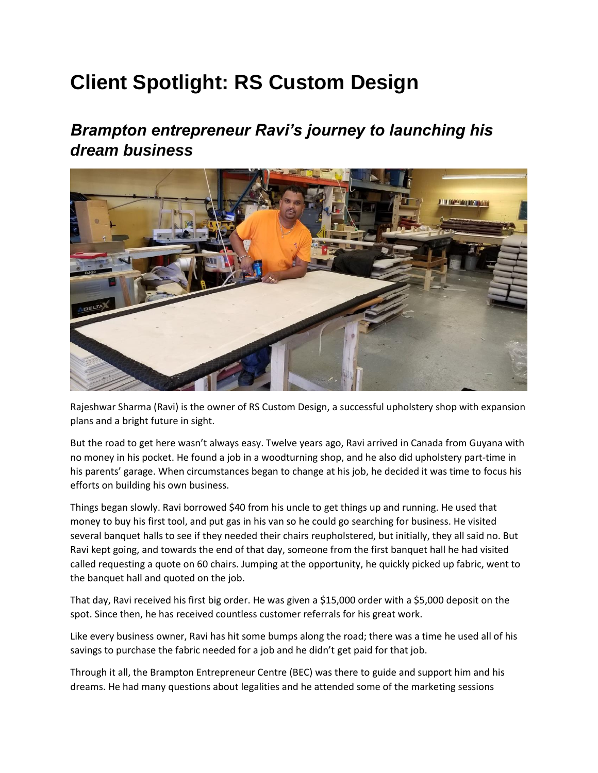## **Client Spotlight: RS Custom Design**

## *Brampton entrepreneur Ravi's journey to launching his dream business*



Rajeshwar Sharma (Ravi) is the owner of RS Custom Design, a successful upholstery shop with expansion plans and a bright future in sight.

But the road to get here wasn't always easy. Twelve years ago, Ravi arrived in Canada from Guyana with no money in his pocket. He found a job in a woodturning shop, and he also did upholstery part-time in his parents' garage. When circumstances began to change at his job, he decided it was time to focus his efforts on building his own business.

Things began slowly. Ravi borrowed \$40 from his uncle to get things up and running. He used that money to buy his first tool, and put gas in his van so he could go searching for business. He visited several banquet halls to see if they needed their chairs reupholstered, but initially, they all said no. But Ravi kept going, and towards the end of that day, someone from the first banquet hall he had visited called requesting a quote on 60 chairs. Jumping at the opportunity, he quickly picked up fabric, went to the banquet hall and quoted on the job.

That day, Ravi received his first big order. He was given a \$15,000 order with a \$5,000 deposit on the spot. Since then, he has received countless customer referrals for his great work.

Like every business owner, Ravi has hit some bumps along the road; there was a time he used all of his savings to purchase the fabric needed for a job and he didn't get paid for that job.

Through it all, the Brampton Entrepreneur Centre (BEC) was there to guide and support him and his dreams. He had many questions about legalities and he attended some of the marketing sessions